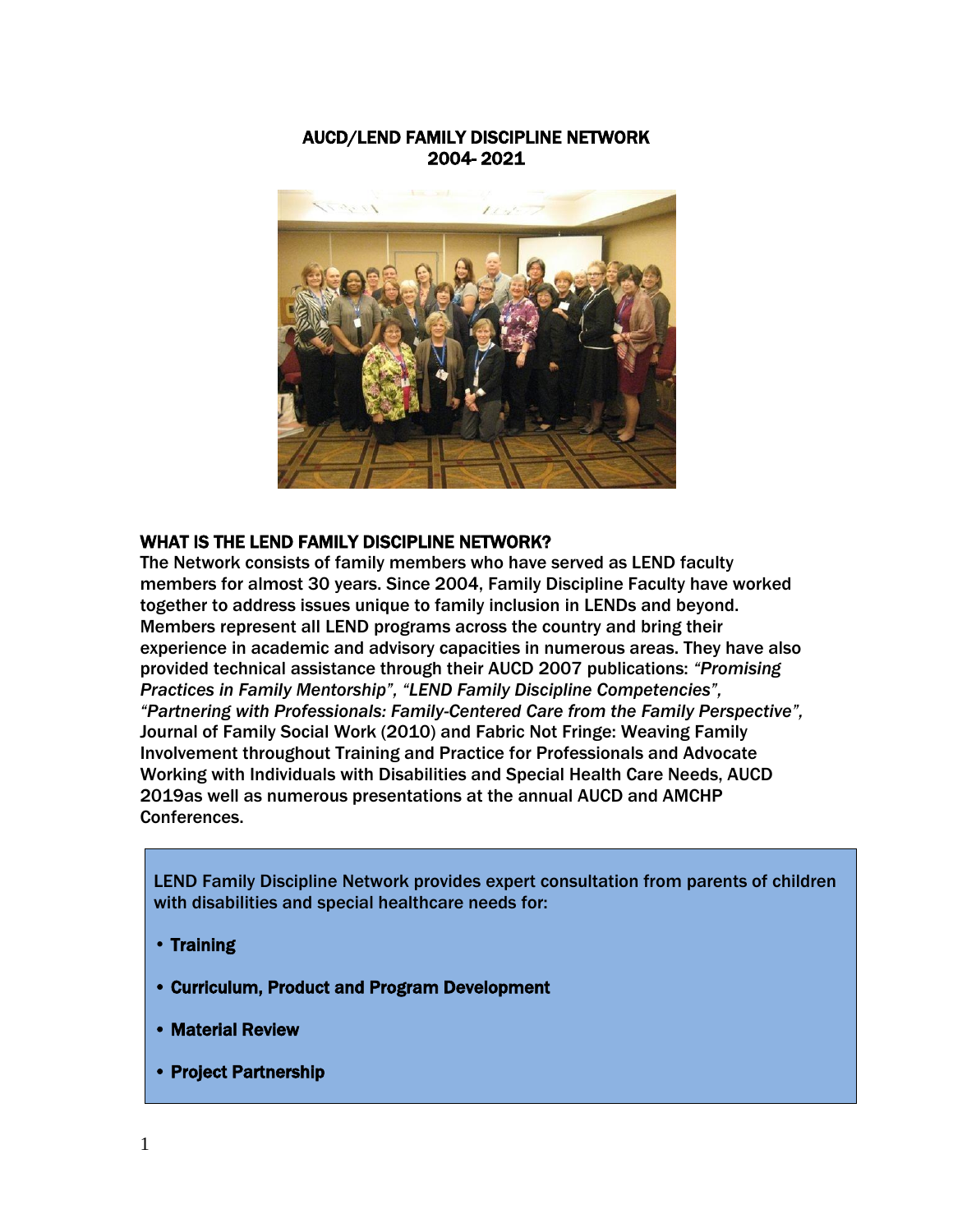#### AUCD/LEND FAMILY DISCIPLINE NETWORK 2004- 2021



#### WHAT IS THE LEND FAMILY DISCIPLINE NETWORK?

The Network consists of family members who have served as LEND faculty members for almost 30 years. Since 2004, Family Discipline Faculty have worked together to address issues unique to family inclusion in LENDs and beyond. Members represent all LEND programs across the country and bring their experience in academic and advisory capacities in numerous areas. They have also provided technical assistance through their AUCD 2007 publications: *"Promising Practices in Family Mentorship", "LEND Family Discipline Competencies", "Partnering with Professionals: Family-Centered Care from the Family Perspective",* Journal of Family Social Work (2010) and Fabric Not Fringe: Weaving Family Involvement throughout Training and Practice for Professionals and Advocate Working with Individuals with Disabilities and Special Health Care Needs, AUCD 2019as well as numerous presentations at the annual AUCD and AMCHP Conferences.

LEND Family Discipline Network provides expert consultation from parents of children with disabilities and special healthcare needs for:

- Training
- Curriculum, Product and Program Development
- Material Review
- Project Partnership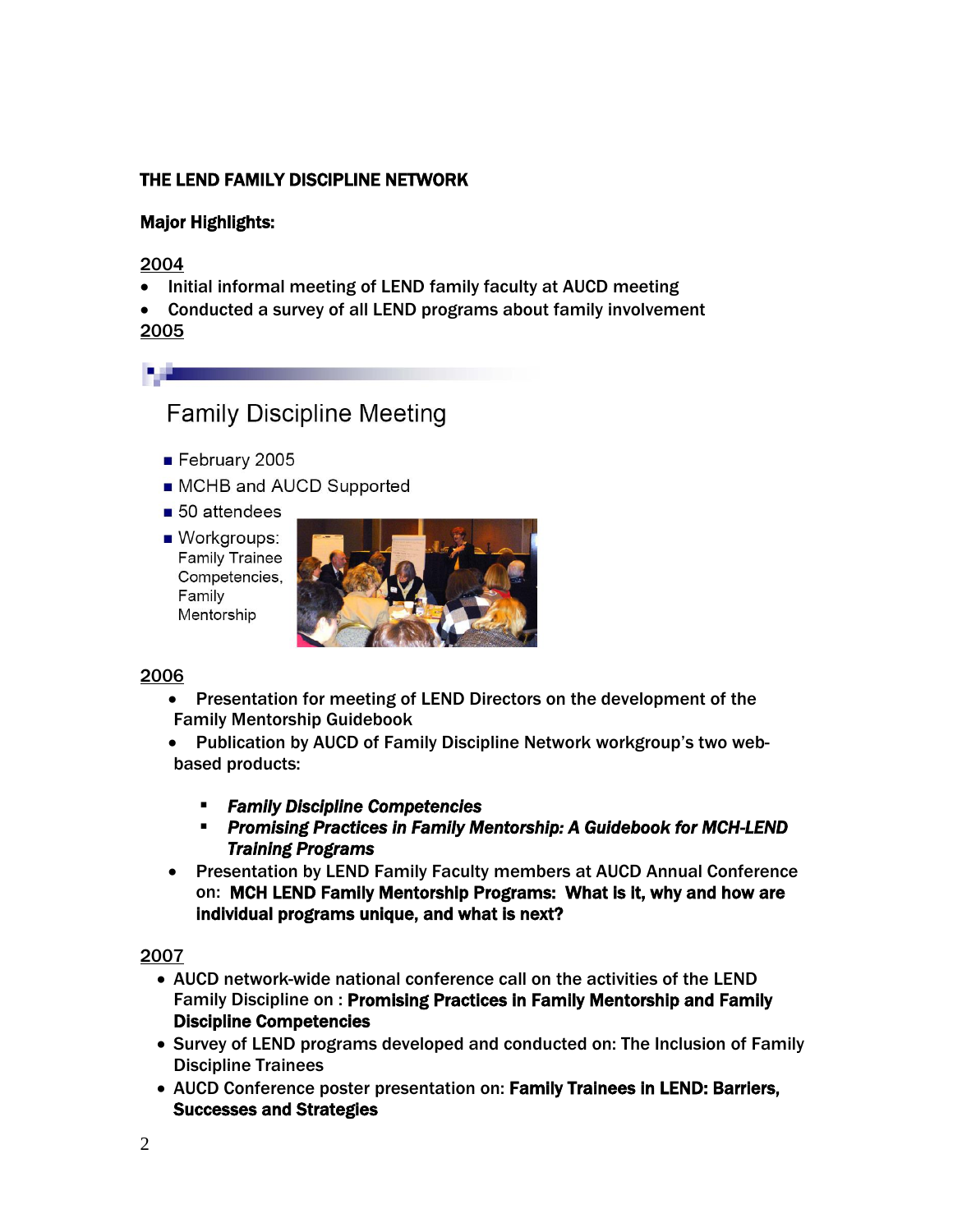# THE LEND FAMILY DISCIPLINE NETWORK

### Major Highlights:

2004

- Initial informal meeting of LEND family faculty at AUCD meeting
- Conducted a survey of all LEND programs about family involvement 2005
	- **Family Discipline Meeting**
	- February 2005
	- MCHB and AUCD Supported
	- $\blacksquare$  50 attendees
	- Workgroups: **Family Trainee** Competencies, Family Mentorship



#### 2006

- Presentation for meeting of LEND Directors on the development of the Family Mentorship Guidebook
- Publication by AUCD of Family Discipline Network workgroup's two webbased products:
	- *Family Discipline Competencies*
	- *Promising Practices in Family Mentorship: A Guidebook for MCH-LEND Training Programs*
- Presentation by LEND Family Faculty members at AUCD Annual Conference on: MCH LEND Family Mentorship Programs: What is it, why and how are individual programs unique, and what is next?

- AUCD network-wide national conference call on the activities of the LEND Family Discipline on : Promising Practices in Family Mentorship and Family Discipline Competencies
- Survey of LEND programs developed and conducted on: The Inclusion of Family Discipline Trainees
- AUCD Conference poster presentation on: Family Trainees in LEND: Barriers, Successes and Strategies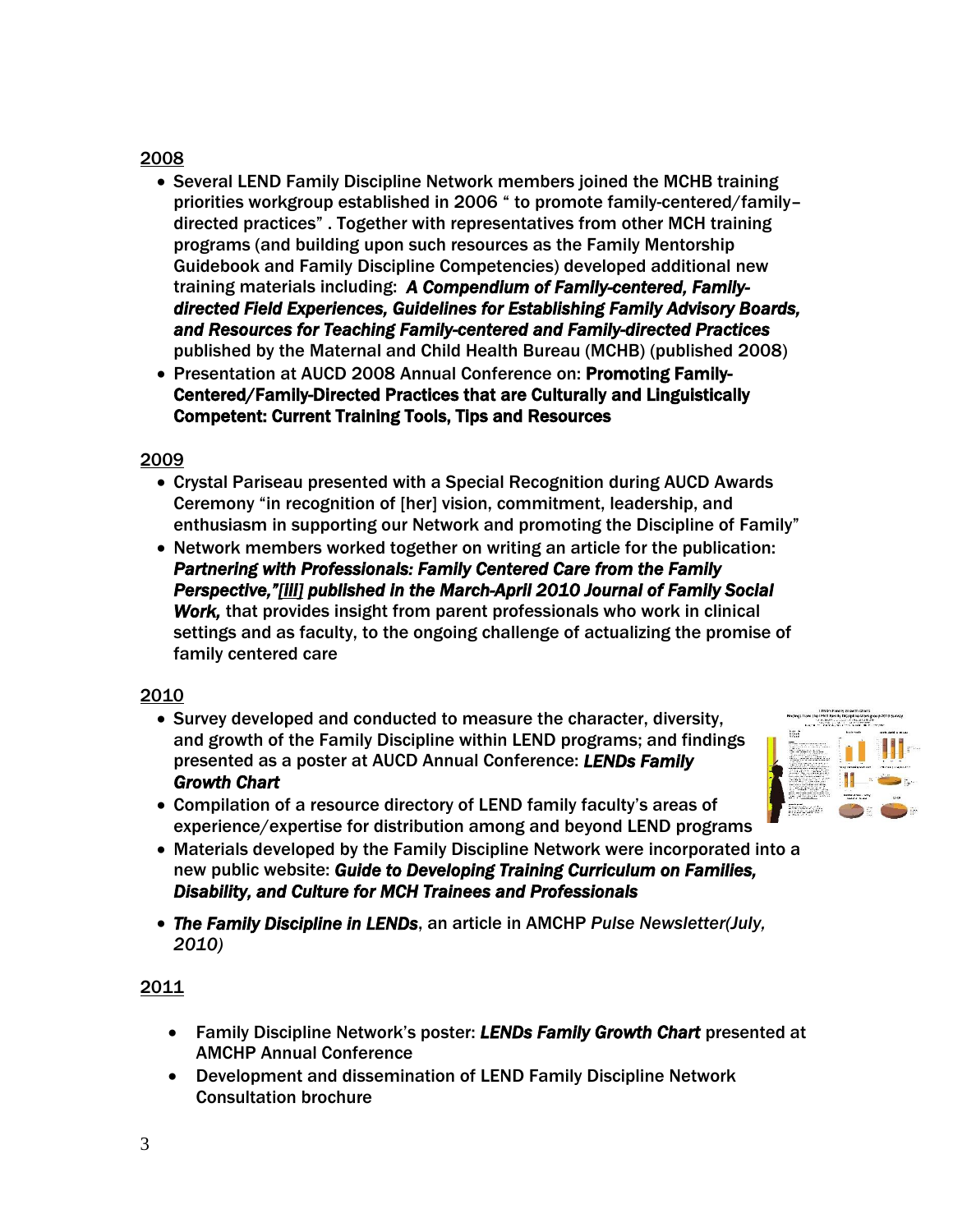- Several LEND Family Discipline Network members joined the MCHB training priorities workgroup established in 2006 " to promote family-centered/family– directed practices" . Together with representatives from other MCH training programs (and building upon such resources as the Family Mentorship Guidebook and Family Discipline Competencies) developed additional new training materials including: *A Compendium of Family-centered, Familydirected Field Experiences, Guidelines for Establishing Family Advisory Boards, and Resources for Teaching Family-centered and Family-directed Practices* published by the Maternal and Child Health Bureau (MCHB) (published 2008)
- Presentation at AUCD 2008 Annual Conference on: Promoting Family-Centered/Family-Directed Practices that are Culturally and Linguistically Competent: Current Training Tools, Tips and Resources

## 2009

- Crystal Pariseau presented with a Special Recognition during AUCD Awards Ceremony "in recognition of [her] vision, commitment, leadership, and enthusiasm in supporting our Network and promoting the Discipline of Family"
- Network members worked together on writing an article for the publication: *Partnering with Professionals: Family Centered Care from the Family Perspective,"[\[iii\]](http://www.amchp.org/AboutAMCHP/Newsletters/Pulse/July2010/Pages/Feature2.aspx#_edn3) published in the March-April 2010 Journal of Family Social Work,* that provides insight from parent professionals who work in clinical settings and as faculty, to the ongoing challenge of actualizing the promise of family centered care

## 2010

- Survey developed and conducted to measure the character, diversity, and growth of the Family Discipline within LEND programs; and findings presented as a poster at AUCD Annual Conference: *LENDs Family Growth Chart*
- Compilation of a resource directory of LEND family faculty's areas of experience/expertise for distribution among and beyond LEND programs
- Materials developed by the Family Discipline Network were incorporated into a new public website: *Guide to Developing Training Curriculum on Families, Disability, and Culture for MCH Trainees and Professionals*
- *The Family Discipline in LENDs*, an article in AMCHP *Pulse Newsletter(July, 2010)*

- Family Discipline Network's poster: *LENDs Family Growth Chart* presented at AMCHP Annual Conference
- Development and dissemination of LEND Family Discipline Network Consultation brochure

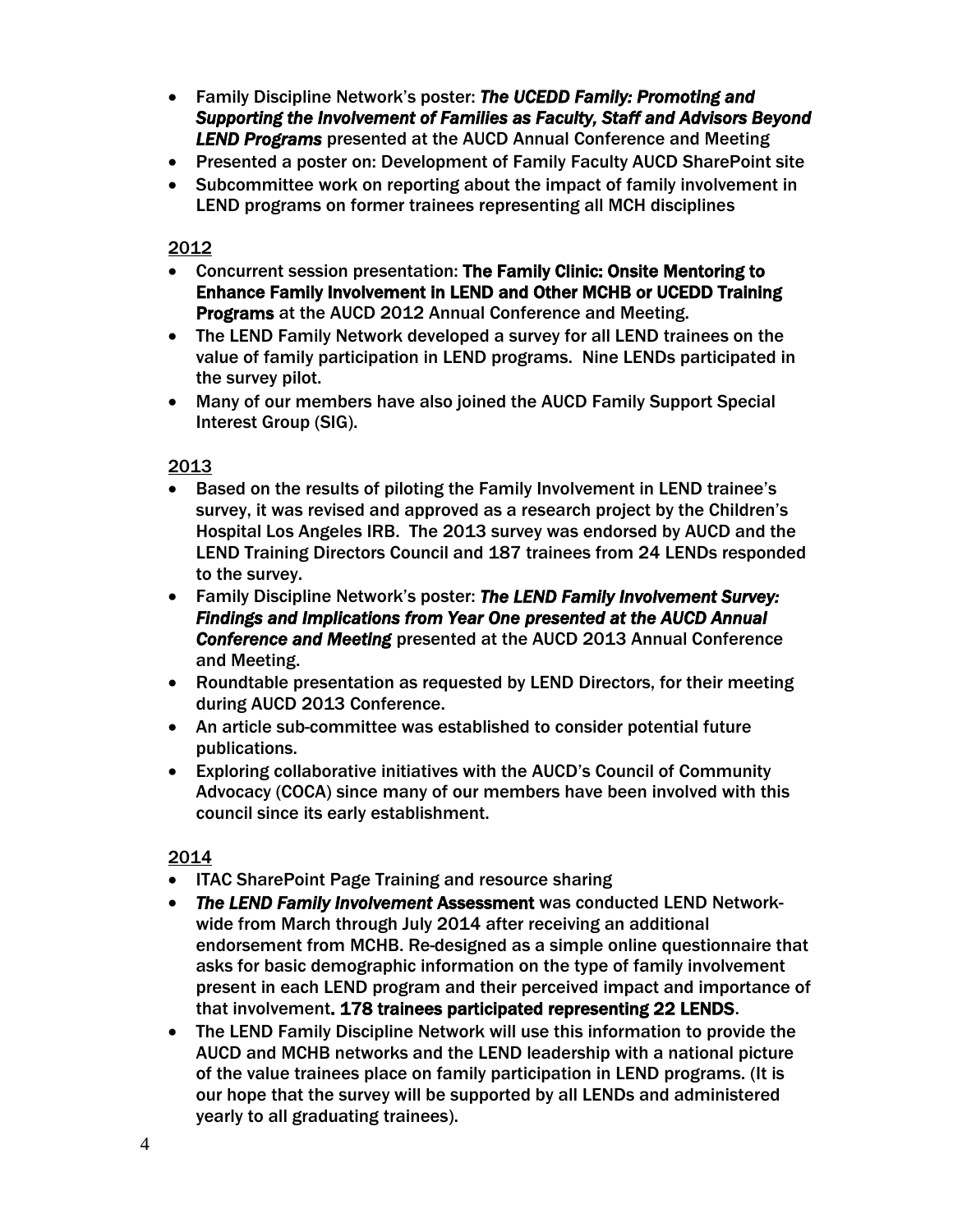- Family Discipline Network's poster: *The UCEDD Family: Promoting and Supporting the Involvement of Families as Faculty, Staff and Advisors Beyond LEND Programs* presented at the AUCD Annual Conference and Meeting
- Presented a poster on: Development of Family Faculty AUCD SharePoint site
- Subcommittee work on reporting about the impact of family involvement in LEND programs on former trainees representing all MCH disciplines

- Concurrent session presentation: The Family Clinic: Onsite Mentoring to Enhance Family Involvement in LEND and Other MCHB or UCEDD Training Programs at the AUCD 2012 Annual Conference and Meeting.
- The LEND Family Network developed a survey for all LEND trainees on the value of family participation in LEND programs. Nine LENDs participated in the survey pilot.
- Many of our members have also joined the AUCD Family Support Special Interest Group (SIG).

2013

- Based on the results of piloting the Family Involvement in LEND trainee's survey, it was revised and approved as a research project by the Children's Hospital Los Angeles IRB. The 2013 survey was endorsed by AUCD and the LEND Training Directors Council and 187 trainees from 24 LENDs responded to the survey.
- Family Discipline Network's poster: *The LEND Family Involvement Survey: Findings and Implications from Year One presented at the AUCD Annual Conference and Meeting* presented at the AUCD 2013 Annual Conference and Meeting.
- Roundtable presentation as requested by LEND Directors, for their meeting during AUCD 2013 Conference.
- An article sub-committee was established to consider potential future publications.
- Exploring collaborative initiatives with the AUCD's Council of Community Advocacy (COCA) since many of our members have been involved with this council since its early establishment.

- ITAC SharePoint Page Training and resource sharing
- *The LEND Family Involvement* Assessment was conducted LEND Networkwide from March through July 2014 after receiving an additional endorsement from MCHB. Re-designed as a simple online questionnaire that asks for basic demographic information on the type of family involvement present in each LEND program and their perceived impact and importance of that involvement. 178 trainees participated representing 22 LENDS.
- The LEND Family Discipline Network will use this information to provide the AUCD and MCHB networks and the LEND leadership with a national picture of the value trainees place on family participation in LEND programs. (It is our hope that the survey will be supported by all LENDs and administered yearly to all graduating trainees).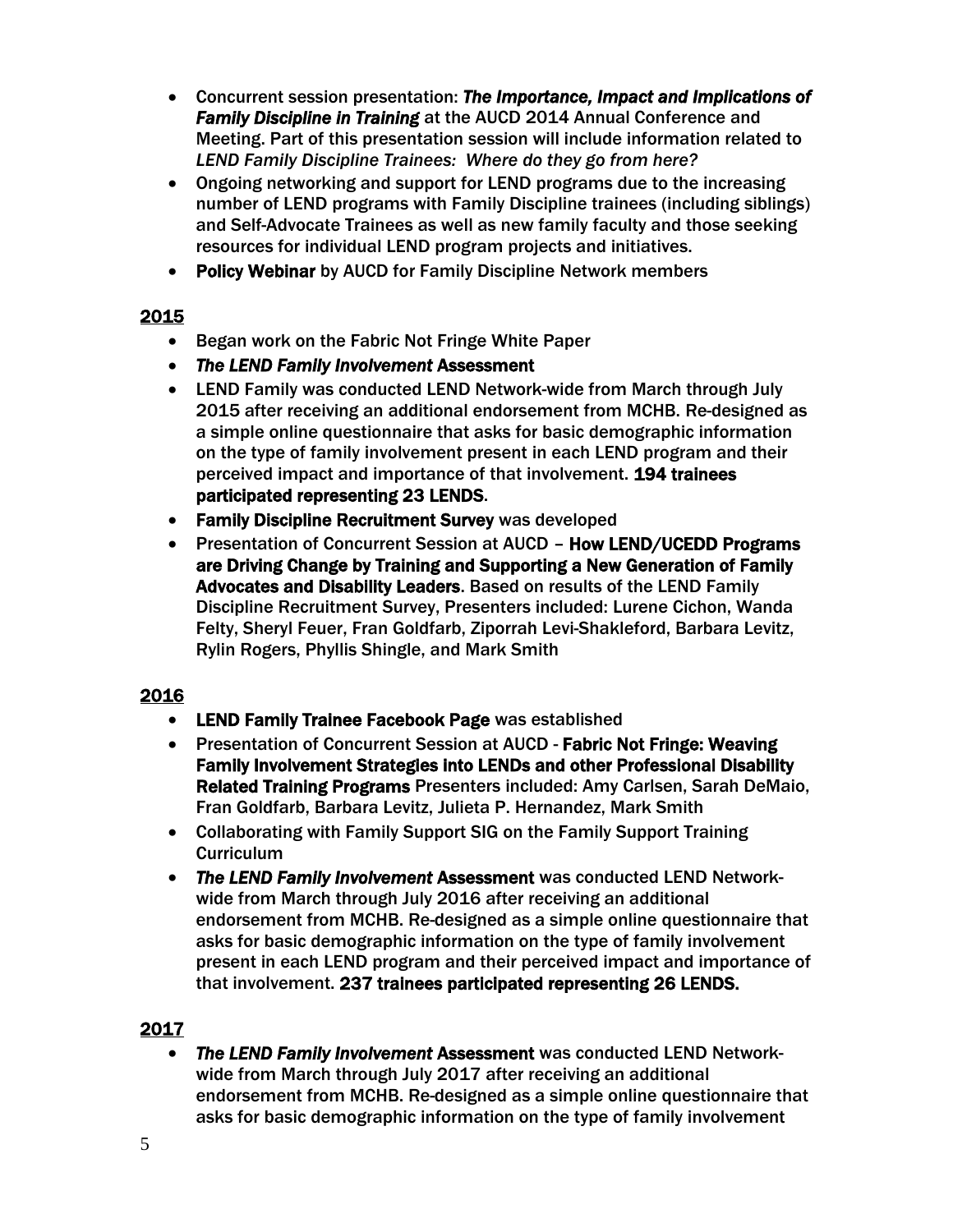- Concurrent session presentation: *The Importance, Impact and Implications of Family Discipline in Training* at the AUCD 2014 Annual Conference and Meeting. Part of this presentation session will include information related to *LEND Family Discipline Trainees: Where do they go from here?*
- Ongoing networking and support for LEND programs due to the increasing number of LEND programs with Family Discipline trainees (including siblings) and Self-Advocate Trainees as well as new family faculty and those seeking resources for individual LEND program projects and initiatives.
- Policy Webinar by AUCD for Family Discipline Network members

- Began work on the Fabric Not Fringe White Paper
- *The LEND Family Involvement* Assessment
- LEND Family was conducted LEND Network-wide from March through July 2015 after receiving an additional endorsement from MCHB. Re-designed as a simple online questionnaire that asks for basic demographic information on the type of family involvement present in each LEND program and their perceived impact and importance of that involvement. 194 trainees participated representing 23 LENDS.
- Family Discipline Recruitment Survey was developed
- Presentation of Concurrent Session at AUCD How LEND/UCEDD Programs are Driving Change by Training and Supporting a New Generation of Family Advocates and Disability Leaders. Based on results of the LEND Family Discipline Recruitment Survey, Presenters included: Lurene Cichon, Wanda Felty, Sheryl Feuer, Fran Goldfarb, Ziporrah Levi-Shakleford, Barbara Levitz, Rylin Rogers, Phyllis Shingle, and Mark Smith

## 2016

- LEND Family Trainee Facebook Page was established
- Presentation of Concurrent Session at AUCD Fabric Not Fringe: Weaving Family Involvement Strategies into LENDs and other Professional Disability Related Training Programs Presenters included: Amy Carlsen, Sarah DeMaio, Fran Goldfarb, Barbara Levitz, Julieta P. Hernandez, Mark Smith
- Collaborating with Family Support SIG on the Family Support Training **Curriculum**
- *The LEND Family Involvement* Assessment was conducted LEND Networkwide from March through July 2016 after receiving an additional endorsement from MCHB. Re-designed as a simple online questionnaire that asks for basic demographic information on the type of family involvement present in each LEND program and their perceived impact and importance of that involvement. 237 trainees participated representing 26 LENDS.

## 2017

• *The LEND Family Involvement* Assessment was conducted LEND Networkwide from March through July 2017 after receiving an additional endorsement from MCHB. Re-designed as a simple online questionnaire that asks for basic demographic information on the type of family involvement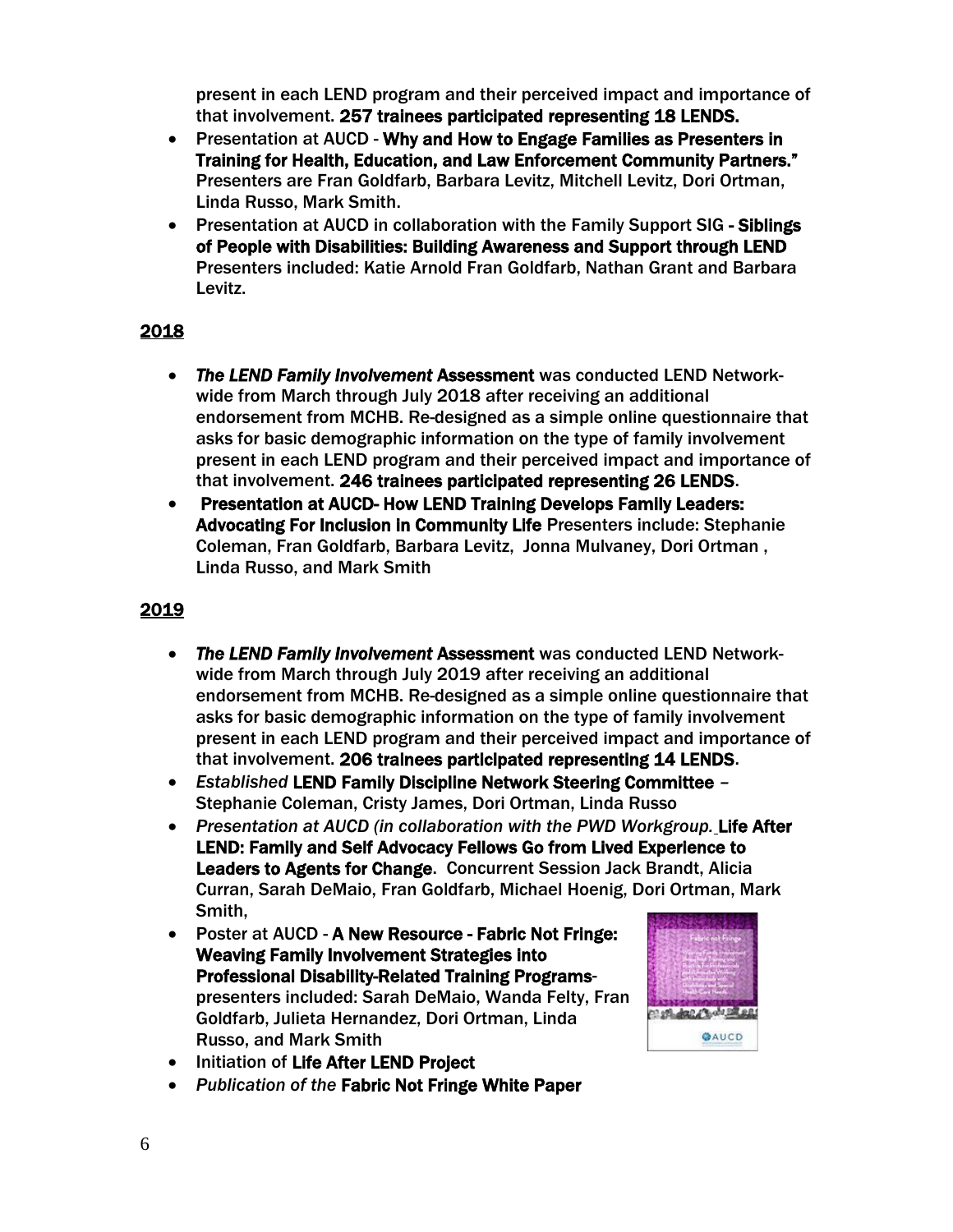present in each LEND program and their perceived impact and importance of that involvement. 257 trainees participated representing 18 LENDS.

- Presentation at AUCD Why and How to Engage Families as Presenters in Training for Health, Education, and Law Enforcement Community Partners." Presenters are Fran Goldfarb, Barbara Levitz, Mitchell Levitz, Dori Ortman, Linda Russo, Mark Smith.
- Presentation at AUCD in collaboration with the Family Support SIG Siblings of People with Disabilities: Building Awareness and Support through LEND Presenters included: Katie Arnold Fran Goldfarb, Nathan Grant and Barbara Levitz.

# 2018

- *The LEND Family Involvement* Assessment was conducted LEND Networkwide from March through July 2018 after receiving an additional endorsement from MCHB. Re-designed as a simple online questionnaire that asks for basic demographic information on the type of family involvement present in each LEND program and their perceived impact and importance of that involvement. 246 trainees participated representing 26 LENDS.
- Presentation at AUCD- How LEND Training Develops Family Leaders: Advocating For Inclusion in Community Life Presenters include: Stephanie Coleman, Fran Goldfarb, Barbara Levitz, Jonna Mulvaney, Dori Ortman , Linda Russo, and Mark Smith

- *The LEND Family Involvement* Assessment was conducted LEND Networkwide from March through July 2019 after receiving an additional endorsement from MCHB. Re-designed as a simple online questionnaire that asks for basic demographic information on the type of family involvement present in each LEND program and their perceived impact and importance of that involvement. 206 trainees participated representing 14 LENDS.
- *Established* LEND Family Discipline Network Steering Committee *–* Stephanie Coleman, Cristy James, Dori Ortman, Linda Russo
- *Presentation at AUCD (in collaboration with the PWD Workgroup.* Life After LEND: Family and Self Advocacy Fellows Go from Lived Experience to Leaders to Agents for Change. Concurrent Session Jack Brandt, Alicia Curran, Sarah DeMaio, Fran Goldfarb, Michael Hoenig, Dori Ortman, Mark Smith,
- Poster at AUCD A New Resource Fabric Not Fringe: Weaving Family Involvement Strategies into Professional Disability-Related Training Programspresenters included: Sarah DeMaio, Wanda Felty, Fran Goldfarb, Julieta Hernandez, Dori Ortman, Linda Russo, and Mark Smith



- Initiation of Life After LEND Project
- *Publication of the* Fabric Not Fringe White Paper